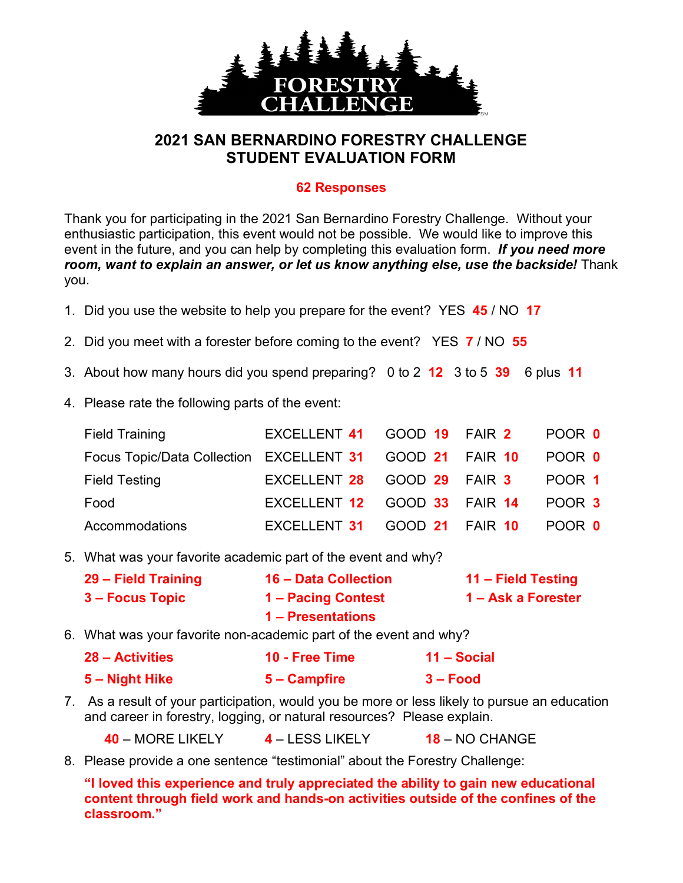

## **2021 SAN BERNARDINO FORESTRY CHALLENGE STUDENT EVALUATION FORM**

## **62 Responses**

Thank you for participating in the 2021 San Bernardino Forestry Challenge. Without your enthusiastic participation, this event would not be possible. We would like to improve this event in the future, and you can help by completing this evaluation form. *If you need more room, want to explain an answer, or let us know anything else, use the backside!* Thank you.

- 1. Did you use the website to help you prepare for the event? YES **45** / NO **17**
- 2. Did you meet with a forester before coming to the event? YES **7** / NO **55**
- 3. About how many hours did you spend preparing? 0 to 2 **12** 3 to 5 **39** 6 plus **11**
- 4. Please rate the following parts of the event:

| <b>Field Training</b>                                           | EXCELLENT 41 GOOD 19 FAIR 2         |  | <b>POOR 0</b> |
|-----------------------------------------------------------------|-------------------------------------|--|---------------|
| Focus Topic/Data Collection EXCELLENT 31 GOOD 21 FAIR 10 POOR 0 |                                     |  |               |
| <b>Field Testing</b>                                            | EXCELLENT 28 GOOD 29 FAIR 3         |  | POOR 1        |
| Food                                                            | EXCELLENT 12 GOOD 33 FAIR 14 POOR 3 |  |               |
| Accommodations                                                  | EXCELLENT 31 GOOD 21 FAIR 10 POOR 0 |  |               |

5. What was your favorite academic part of the event and why?

| 29 - Field Training    | 16 - Data Collection | 11 – Field Testing |
|------------------------|----------------------|--------------------|
| <b>3 – Focus Topic</b> | 1 – Pacing Contest   | 1 – Ask a Forester |
|                        | 1 – Presentations    |                    |

- 6. What was your favorite non-academic part of the event and why?
	- **28 – Activities 10 - Free Time 11 – Social 5 – Night Hike 5 – Campfire 3 – Food**
- 7. As a result of your participation, would you be more or less likely to pursue an education and career in forestry, logging, or natural resources? Please explain.

**40** – MORE LIKELY **4** – LESS LIKELY **18** – NO CHANGE

8. Please provide a one sentence "testimonial" about the Forestry Challenge:

**"I loved this experience and truly appreciated the ability to gain new educational content through field work and hands-on activities outside of the confines of the classroom."**